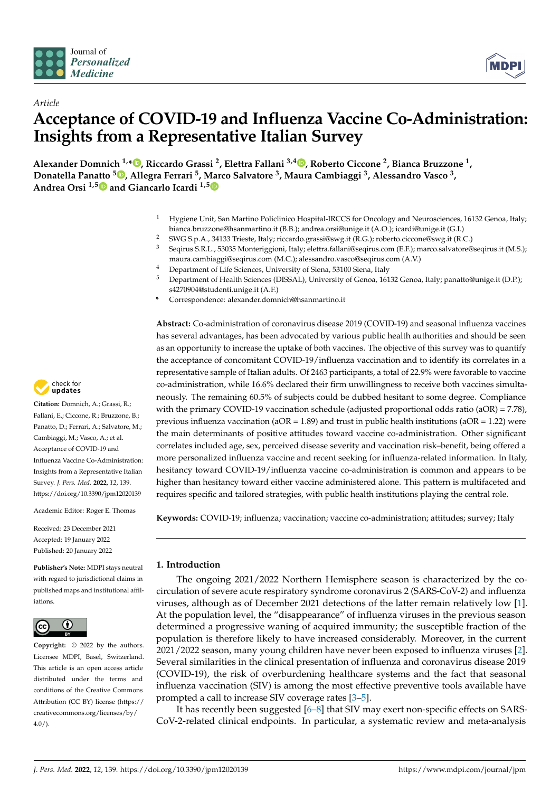



# *Article* **Acceptance of COVID-19 and Influenza Vaccine Co-Administration: Insights from a Representative Italian Survey**

**Alexander Domnich 1,[\\*](https://orcid.org/0000-0001-9608-8892) , Riccardo Grassi <sup>2</sup> , Elettra Fallani 3,4 [,](https://orcid.org/0000-0002-7326-9102) Roberto Ciccone <sup>2</sup> , Bianca Bruzzone <sup>1</sup> , Donatella Panatto <sup>5</sup> [,](https://orcid.org/0000-0002-2677-0551) Allegra Ferrari <sup>5</sup> , Marco Salvatore <sup>3</sup> , Maura Cambiaggi <sup>3</sup> , Alessandro Vasco <sup>3</sup> , Andrea Orsi 1,[5](https://orcid.org/0000-0002-2433-9610) and Giancarlo Icardi 1,[5](https://orcid.org/0000-0002-8463-8487)**

- <sup>1</sup> Hygiene Unit, San Martino Policlinico Hospital-IRCCS for Oncology and Neurosciences, 16132 Genoa, Italy; bianca.bruzzone@hsanmartino.it (B.B.); andrea.orsi@unige.it (A.O.); icardi@unige.it (G.I.)
- 2 SWG S.p.A., 34133 Trieste, Italy; riccardo.grassi@swg.it (R.G.); roberto.ciccone@swg.it (R.C.)<br>3 Sections S.P.J., 52025 Monteriorieni, Italy; elettre fallani@sective.com (E.E.); marce seluctors@
- <sup>3</sup> Seqirus S.R.L., 53035 Monteriggioni, Italy; elettra.fallani@seqirus.com (E.F.); marco.salvatore@seqirus.it (M.S.); maura.cambiaggi@seqirus.com (M.C.); alessandro.vasco@seqirus.com (A.V.)
- <sup>4</sup> Department of Life Sciences, University of Siena, 53100 Siena, Italy
- <sup>5</sup> Department of Health Sciences (DISSAL), University of Genoa, 16132 Genoa, Italy; panatto@unige.it (D.P.); s4270904@studenti.unige.it (A.F.)
- **\*** Correspondence: alexander.domnich@hsanmartino.it

**Abstract:** Co-administration of coronavirus disease 2019 (COVID-19) and seasonal influenza vaccines has several advantages, has been advocated by various public health authorities and should be seen as an opportunity to increase the uptake of both vaccines. The objective of this survey was to quantify the acceptance of concomitant COVID-19/influenza vaccination and to identify its correlates in a representative sample of Italian adults. Of 2463 participants, a total of 22.9% were favorable to vaccine co-administration, while 16.6% declared their firm unwillingness to receive both vaccines simultaneously. The remaining 60.5% of subjects could be dubbed hesitant to some degree. Compliance with the primary COVID-19 vaccination schedule (adjusted proportional odds ratio (aOR) = 7.78), previous influenza vaccination ( $aOR = 1.89$ ) and trust in public health institutions ( $aOR = 1.22$ ) were the main determinants of positive attitudes toward vaccine co-administration. Other significant correlates included age, sex, perceived disease severity and vaccination risk–benefit, being offered a more personalized influenza vaccine and recent seeking for influenza-related information. In Italy, hesitancy toward COVID-19/influenza vaccine co-administration is common and appears to be higher than hesitancy toward either vaccine administered alone. This pattern is multifaceted and requires specific and tailored strategies, with public health institutions playing the central role.

**Keywords:** COVID-19; influenza; vaccination; vaccine co-administration; attitudes; survey; Italy

## **1. Introduction**

The ongoing 2021/2022 Northern Hemisphere season is characterized by the cocirculation of severe acute respiratory syndrome coronavirus 2 (SARS-CoV-2) and influenza viruses, although as of December 2021 detections of the latter remain relatively low [\[1\]](#page-10-0). At the population level, the "disappearance" of influenza viruses in the previous season determined a progressive waning of acquired immunity; the susceptible fraction of the population is therefore likely to have increased considerably. Moreover, in the current 2021/2022 season, many young children have never been exposed to influenza viruses [\[2\]](#page-10-1). Several similarities in the clinical presentation of influenza and coronavirus disease 2019 (COVID-19), the risk of overburdening healthcare systems and the fact that seasonal influenza vaccination (SIV) is among the most effective preventive tools available have prompted a call to increase SIV coverage rates [\[3](#page-10-2)[–5\]](#page-10-3).

It has recently been suggested [\[6](#page-10-4)[–8\]](#page-10-5) that SIV may exert non-specific effects on SARS-CoV-2-related clinical endpoints. In particular, a systematic review and meta-analysis



**Citation:** Domnich, A.; Grassi, R.; Fallani, E.; Ciccone, R.; Bruzzone, B.; Panatto, D.; Ferrari, A.; Salvatore, M.; Cambiaggi, M.; Vasco, A.; et al. Acceptance of COVID-19 and Influenza Vaccine Co-Administration: Insights from a Representative Italian Survey. *J. Pers. Med.* **2022**, *12*, 139. <https://doi.org/10.3390/jpm12020139>

Academic Editor: Roger E. Thomas

Received: 23 December 2021 Accepted: 19 January 2022 Published: 20 January 2022

**Publisher's Note:** MDPI stays neutral with regard to jurisdictional claims in published maps and institutional affiliations.



**Copyright:** © 2022 by the authors. Licensee MDPI, Basel, Switzerland. This article is an open access article distributed under the terms and conditions of the Creative Commons Attribution (CC BY) license [\(https://](https://creativecommons.org/licenses/by/4.0/) [creativecommons.org/licenses/by/](https://creativecommons.org/licenses/by/4.0/)  $4.0/$ ).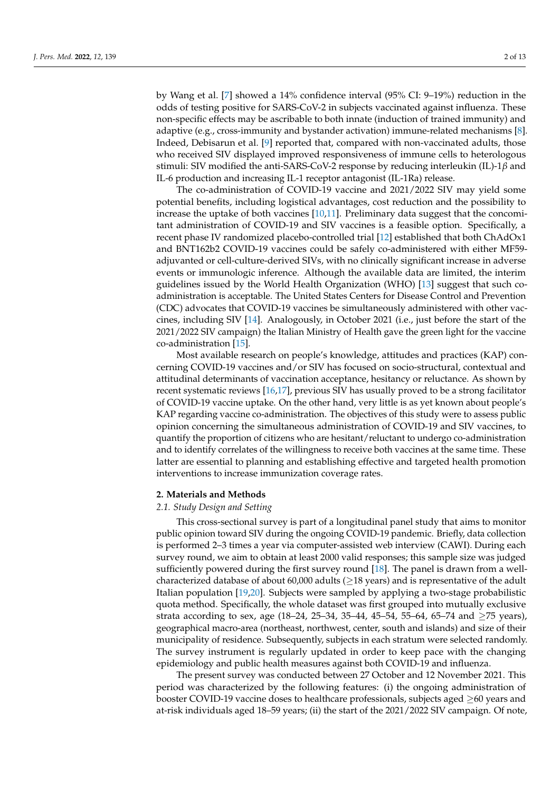by Wang et al. [\[7\]](#page-10-6) showed a 14% confidence interval (95% CI: 9–19%) reduction in the odds of testing positive for SARS-CoV-2 in subjects vaccinated against influenza. These non-specific effects may be ascribable to both innate (induction of trained immunity) and adaptive (e.g., cross-immunity and bystander activation) immune-related mechanisms [\[8\]](#page-10-5). Indeed, Debisarun et al. [\[9\]](#page-10-7) reported that, compared with non-vaccinated adults, those who received SIV displayed improved responsiveness of immune cells to heterologous stimuli: SIV modified the anti-SARS-CoV-2 response by reducing interleukin (IL)-1*β* and IL-6 production and increasing IL-1 receptor antagonist (IL-1Ra) release.

The co-administration of COVID-19 vaccine and 2021/2022 SIV may yield some potential benefits, including logistical advantages, cost reduction and the possibility to increase the uptake of both vaccines [\[10](#page-10-8)[,11\]](#page-10-9). Preliminary data suggest that the concomitant administration of COVID-19 and SIV vaccines is a feasible option. Specifically, a recent phase IV randomized placebo-controlled trial [\[12\]](#page-10-10) established that both ChAdOx1 and BNT162b2 COVID-19 vaccines could be safely co-administered with either MF59 adjuvanted or cell-culture-derived SIVs, with no clinically significant increase in adverse events or immunologic inference. Although the available data are limited, the interim guidelines issued by the World Health Organization (WHO) [\[13\]](#page-10-11) suggest that such coadministration is acceptable. The United States Centers for Disease Control and Prevention (CDC) advocates that COVID-19 vaccines be simultaneously administered with other vaccines, including SIV [\[14\]](#page-11-0). Analogously, in October 2021 (i.e., just before the start of the 2021/2022 SIV campaign) the Italian Ministry of Health gave the green light for the vaccine co-administration [\[15\]](#page-11-1).

Most available research on people's knowledge, attitudes and practices (KAP) concerning COVID-19 vaccines and/or SIV has focused on socio-structural, contextual and attitudinal determinants of vaccination acceptance, hesitancy or reluctance. As shown by recent systematic reviews [\[16,](#page-11-2)[17\]](#page-11-3), previous SIV has usually proved to be a strong facilitator of COVID-19 vaccine uptake. On the other hand, very little is as yet known about people's KAP regarding vaccine co-administration. The objectives of this study were to assess public opinion concerning the simultaneous administration of COVID-19 and SIV vaccines, to quantify the proportion of citizens who are hesitant/reluctant to undergo co-administration and to identify correlates of the willingness to receive both vaccines at the same time. These latter are essential to planning and establishing effective and targeted health promotion interventions to increase immunization coverage rates.

#### **2. Materials and Methods**

#### *2.1. Study Design and Setting*

This cross-sectional survey is part of a longitudinal panel study that aims to monitor public opinion toward SIV during the ongoing COVID-19 pandemic. Briefly, data collection is performed 2–3 times a year via computer-assisted web interview (CAWI). During each survey round, we aim to obtain at least 2000 valid responses; this sample size was judged sufficiently powered during the first survey round [\[18\]](#page-11-4). The panel is drawn from a wellcharacterized database of about 60,000 adults ( $\geq$ 18 years) and is representative of the adult Italian population [\[19](#page-11-5)[,20\]](#page-11-6). Subjects were sampled by applying a two-stage probabilistic quota method. Specifically, the whole dataset was first grouped into mutually exclusive strata according to sex, age (18–24, 25–34, 35–44, 45–54, 55–64, 65–74 and  $\geq$ 75 years), geographical macro-area (northeast, northwest, center, south and islands) and size of their municipality of residence. Subsequently, subjects in each stratum were selected randomly. The survey instrument is regularly updated in order to keep pace with the changing epidemiology and public health measures against both COVID-19 and influenza.

The present survey was conducted between 27 October and 12 November 2021. This period was characterized by the following features: (i) the ongoing administration of booster COVID-19 vaccine doses to healthcare professionals, subjects aged ≥60 years and at-risk individuals aged 18–59 years; (ii) the start of the 2021/2022 SIV campaign. Of note,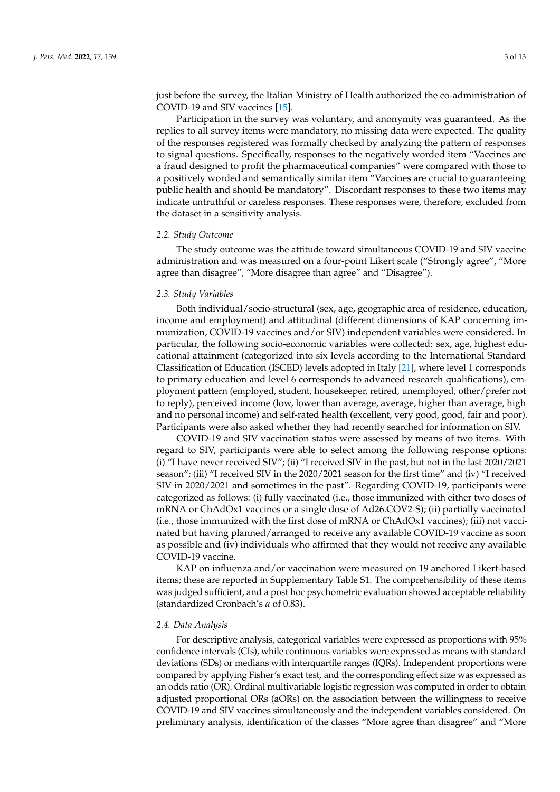just before the survey, the Italian Ministry of Health authorized the co-administration of COVID-19 and SIV vaccines [\[15\]](#page-11-1).

Participation in the survey was voluntary, and anonymity was guaranteed. As the replies to all survey items were mandatory, no missing data were expected. The quality of the responses registered was formally checked by analyzing the pattern of responses to signal questions. Specifically, responses to the negatively worded item "Vaccines are a fraud designed to profit the pharmaceutical companies" were compared with those to a positively worded and semantically similar item "Vaccines are crucial to guaranteeing public health and should be mandatory". Discordant responses to these two items may indicate untruthful or careless responses. These responses were, therefore, excluded from the dataset in a sensitivity analysis.

#### *2.2. Study Outcome*

The study outcome was the attitude toward simultaneous COVID-19 and SIV vaccine administration and was measured on a four-point Likert scale ("Strongly agree", "More agree than disagree", "More disagree than agree" and "Disagree").

#### *2.3. Study Variables*

Both individual/socio-structural (sex, age, geographic area of residence, education, income and employment) and attitudinal (different dimensions of KAP concerning immunization, COVID-19 vaccines and/or SIV) independent variables were considered. In particular, the following socio-economic variables were collected: sex, age, highest educational attainment (categorized into six levels according to the International Standard Classification of Education (ISCED) levels adopted in Italy [\[21\]](#page-11-7), where level 1 corresponds to primary education and level 6 corresponds to advanced research qualifications), employment pattern (employed, student, housekeeper, retired, unemployed, other/prefer not to reply), perceived income (low, lower than average, average, higher than average, high and no personal income) and self-rated health (excellent, very good, good, fair and poor). Participants were also asked whether they had recently searched for information on SIV.

COVID-19 and SIV vaccination status were assessed by means of two items. With regard to SIV, participants were able to select among the following response options: (i) "I have never received SIV"; (ii) "I received SIV in the past, but not in the last 2020/2021 season"; (iii) "I received SIV in the 2020/2021 season for the first time" and (iv) "I received SIV in 2020/2021 and sometimes in the past". Regarding COVID-19, participants were categorized as follows: (i) fully vaccinated (i.e., those immunized with either two doses of mRNA or ChAdOx1 vaccines or a single dose of Ad26.COV2-S); (ii) partially vaccinated (i.e., those immunized with the first dose of mRNA or ChAdOx1 vaccines); (iii) not vaccinated but having planned/arranged to receive any available COVID-19 vaccine as soon as possible and (iv) individuals who affirmed that they would not receive any available COVID-19 vaccine.

KAP on influenza and/or vaccination were measured on 19 anchored Likert-based items; these are reported in Supplementary Table S1. The comprehensibility of these items was judged sufficient, and a post hoc psychometric evaluation showed acceptable reliability (standardized Cronbach's *α* of 0.83).

#### *2.4. Data Analysis*

For descriptive analysis, categorical variables were expressed as proportions with 95% confidence intervals (CIs), while continuous variables were expressed as means with standard deviations (SDs) or medians with interquartile ranges (IQRs). Independent proportions were compared by applying Fisher's exact test, and the corresponding effect size was expressed as an odds ratio (OR). Ordinal multivariable logistic regression was computed in order to obtain adjusted proportional ORs (aORs) on the association between the willingness to receive COVID-19 and SIV vaccines simultaneously and the independent variables considered. On preliminary analysis, identification of the classes "More agree than disagree" and "More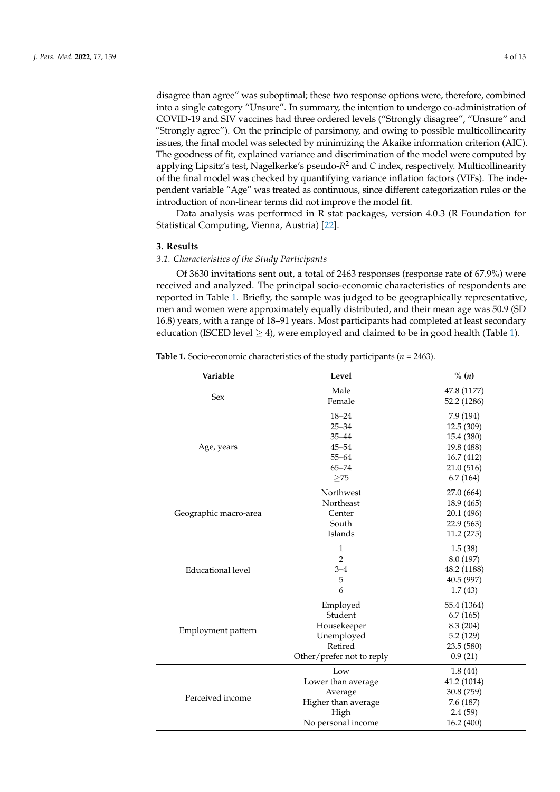disagree than agree" was suboptimal; these two response options were, therefore, combined into a single category "Unsure". In summary, the intention to undergo co-administration of COVID-19 and SIV vaccines had three ordered levels ("Strongly disagree", "Unsure" and "Strongly agree"). On the principle of parsimony, and owing to possible multicollinearity issues, the final model was selected by minimizing the Akaike information criterion (AIC). The goodness of fit, explained variance and discrimination of the model were computed by applying Lipsitz's test, Nagelkerke's pseudo-*R* <sup>2</sup> and *C* index, respectively. Multicollinearity of the final model was checked by quantifying variance inflation factors (VIFs). The independent variable "Age" was treated as continuous, since different categorization rules or the introduction of non-linear terms did not improve the model fit.

Data analysis was performed in R stat packages, version 4.0.3 (R Foundation for Statistical Computing, Vienna, Austria) [\[22\]](#page-11-8).

#### **3. Results**

#### *3.1. Characteristics of the Study Participants*

Of 3630 invitations sent out, a total of 2463 responses (response rate of 67.9%) were received and analyzed. The principal socio-economic characteristics of respondents are reported in Table [1.](#page-3-0) Briefly, the sample was judged to be geographically representative, men and women were approximately equally distributed, and their mean age was 50.9 (SD 16.8) years, with a range of 18–91 years. Most participants had completed at least secondary education (ISCED level  $\geq$  4), were employed and claimed to be in good health (Table [1\)](#page-3-0).

<span id="page-3-0"></span>

| <b>Table 1.</b> Socio-economic characteristics of the study participants ( $n = 2463$ ). |  |  |  |
|------------------------------------------------------------------------------------------|--|--|--|
|------------------------------------------------------------------------------------------|--|--|--|

| Variable                 | Level                                                                                                                                                                              | $\%$ $(n)$  |
|--------------------------|------------------------------------------------------------------------------------------------------------------------------------------------------------------------------------|-------------|
|                          | Male                                                                                                                                                                               | 47.8 (1177) |
| Sex                      | Female                                                                                                                                                                             | 52.2 (1286) |
|                          | $18 - 24$                                                                                                                                                                          | 7.9 (194)   |
|                          | $25 - 34$                                                                                                                                                                          | 12.5 (309)  |
|                          | $35 - 44$                                                                                                                                                                          | 15.4 (380)  |
| Age, years               | $45 - 54$                                                                                                                                                                          | 19.8 (488)  |
|                          | $55 - 64$                                                                                                                                                                          | 16.7 (412)  |
|                          | $65 - 74$                                                                                                                                                                          | 21.0 (516)  |
|                          | $\geq$ 75                                                                                                                                                                          | 6.7(164)    |
|                          | Northwest                                                                                                                                                                          | 27.0 (664)  |
|                          | Northeast                                                                                                                                                                          | 18.9 (465)  |
| Geographic macro-area    | Center                                                                                                                                                                             | 20.1 (496)  |
|                          |                                                                                                                                                                                    | 22.9 (563)  |
|                          | Islands                                                                                                                                                                            | 11.2(275)   |
|                          | 1                                                                                                                                                                                  | 1.5(38)     |
|                          | $\overline{2}$                                                                                                                                                                     | 8.0 (197)   |
| <b>Educational level</b> | $3 - 4$                                                                                                                                                                            | 48.2 (1188) |
|                          | 5                                                                                                                                                                                  | 40.5 (997)  |
|                          | 6                                                                                                                                                                                  | 1.7(43)     |
|                          | Employed                                                                                                                                                                           | 55.4 (1364) |
|                          | South<br>Student<br>Housekeeper<br>Unemployed<br>Retired<br>Other/prefer not to reply<br>Low<br>Lower than average<br>Average<br>Higher than average<br>High<br>No personal income | 6.7(165)    |
| Employment pattern       |                                                                                                                                                                                    | 8.3 (204)   |
|                          |                                                                                                                                                                                    | 5.2(129)    |
|                          |                                                                                                                                                                                    | 23.5 (580)  |
|                          |                                                                                                                                                                                    | 0.9(21)     |
|                          |                                                                                                                                                                                    | 1.8(44)     |
|                          |                                                                                                                                                                                    | 41.2 (1014) |
| Perceived income         |                                                                                                                                                                                    | 30.8 (759)  |
|                          |                                                                                                                                                                                    | 7.6 (187)   |
|                          |                                                                                                                                                                                    | 2.4(59)     |
|                          |                                                                                                                                                                                    | 16.2 (400)  |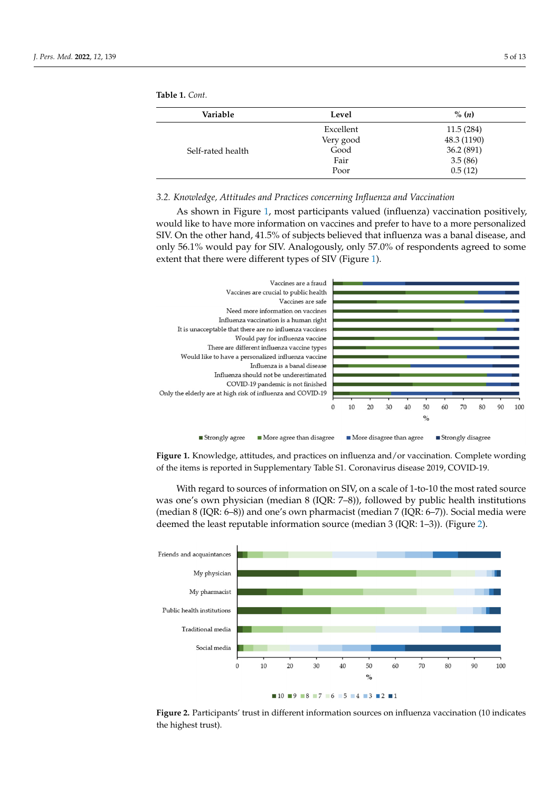| Variable          | Level     | $\%$ (n)    |
|-------------------|-----------|-------------|
|                   | Excellent | 11.5(284)   |
|                   | Very good | 48.3 (1190) |
| Self-rated health | Good      | 36.2 (891)  |
|                   | Fair      | 3.5(86)     |
|                   | Poor      | 0.5(12)     |

**Table 1.** *Cont.*

*3.2. Knowledge, Attitudes and Practices concerning Influenza and Vaccination 3.2. Knowledge, Attitudes and Practices Concerning Influenza and Vaccination*

As shown in Figure [1,](#page-4-0) most participants valued (influenza) vaccination positively, As shown in Figure 1, most participants valued (influenza) vaccination positively, would like to have more information on vaccines and prefer to have to a more personalized SIV. On the other hand, 41.5% of subjects believed that influenza was a banal disease, and only 56.1% would pay for SIV. Analogously, only 57.0% of respondents agreed to some extent that there were different types of SIV (Figure [1\)](#page-4-0).

<span id="page-4-0"></span>

**Figure 1.** Knowledge, attitudes, and practices on influenza and/or vaccination. Complete wording **Figure 1.** Knowledge, attitudes, and practices on influenza and/or vaccination. Complete wording of the items is reported in Supplementary Table S1. Coronavirus disease 2019, COVID‐19. of the items is reported in Supplementary Table S1. Coronavirus disease 2019, COVID-19.

With regard to sources of information on SIV, on a scale of 1‐to‐10 the most rated With regard to sources of information on SIV, on a scale of 1-to-10 the most rated source was one's own physician (median 8 (IQR: 7–8)), followed by public health institutions (median 8 (IQR:  $6-8$ )) and one's own pharmacist (median 7 (IQR:  $6-7$ )). Social media were were deemed the least reputable information source (median 3 (IQR: 1–3)). (Figure 2). deemed the least reputable information source (median 3 (IQR: 1–3)). (Figure [2\)](#page-4-1).

<span id="page-4-1"></span>

**Figure 2.** Participants' trust in different information sources on influenza vaccination (10 indicates **Figure 2.** Participants' trust in different information sources on influenza vaccination (10 indicates the highest trust). the highest trust).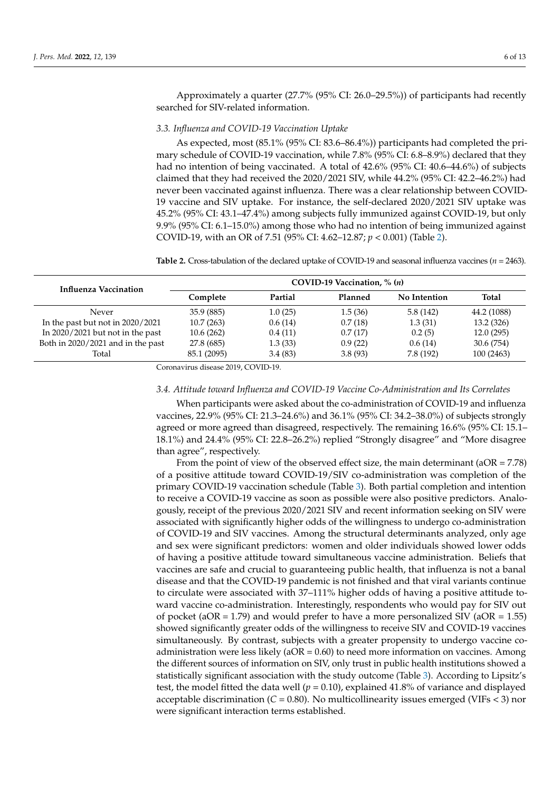Approximately a quarter (27.7% (95% CI: 26.0–29.5%)) of participants had recently searched for SIV-related information.

### *3.3. Influenza and COVID-19 Vaccination Uptake*

As expected, most (85.1% (95% CI: 83.6–86.4%)) participants had completed the primary schedule of COVID-19 vaccination, while 7.8% (95% CI: 6.8–8.9%) declared that they had no intention of being vaccinated. A total of 42.6% (95% CI: 40.6–44.6%) of subjects claimed that they had received the 2020/2021 SIV, while 44.2% (95% CI: 42.2–46.2%) had never been vaccinated against influenza. There was a clear relationship between COVID-19 vaccine and SIV uptake. For instance, the self-declared 2020/2021 SIV uptake was 45.2% (95% CI: 43.1–47.4%) among subjects fully immunized against COVID-19, but only 9.9% (95% CI: 6.1–15.0%) among those who had no intention of being immunized against COVID-19, with an OR of 7.51 (95% CI: 4.62–12.87; *p* < 0.001) (Table [2\)](#page-5-0).

<span id="page-5-0"></span>**Table 2.** Cross-tabulation of the declared uptake of COVID-19 and seasonal influenza vaccines (*n* = 2463).

| <b>Influenza Vaccination</b>       | COVID-19 Vaccination, $\%$ ( <i>n</i> ) |         |         |              |             |
|------------------------------------|-----------------------------------------|---------|---------|--------------|-------------|
|                                    | Complete                                | Partial | Planned | No Intention | Total       |
| Never                              | 35.9 (885)                              | 1.0(25) | 1.5(36) | 5.8(142)     | 44.2 (1088) |
| In the past but not in $2020/2021$ | 10.7(263)                               | 0.6(14) | 0.7(18) | 1.3(31)      | 13.2 (326)  |
| In 2020/2021 but not in the past   | 10.6(262)                               | 0.4(11) | 0.7(17) | 0.2(5)       | 12.0(295)   |
| Both in 2020/2021 and in the past  | 27.8 (685)                              | 1.3(33) | 0.9(22) | 0.6(14)      | 30.6 (754)  |
| Total                              | 85.1 (2095)                             | 3.4(83) | 3.8(93) | 7.8(192)     | 100 (2463)  |

Coronavirus disease 2019, COVID-19.

#### *3.4. Attitude toward Influenza and COVID-19 Vaccine Co-Administration and Its Correlates*

When participants were asked about the co-administration of COVID-19 and influenza vaccines, 22.9% (95% CI: 21.3–24.6%) and 36.1% (95% CI: 34.2–38.0%) of subjects strongly agreed or more agreed than disagreed, respectively. The remaining 16.6% (95% CI: 15.1– 18.1%) and 24.4% (95% CI: 22.8–26.2%) replied "Strongly disagree" and "More disagree than agree", respectively.

From the point of view of the observed effect size, the main determinant ( $aOR = 7.78$ ) of a positive attitude toward COVID-19/SIV co-administration was completion of the primary COVID-19 vaccination schedule (Table [3\)](#page-6-0). Both partial completion and intention to receive a COVID-19 vaccine as soon as possible were also positive predictors. Analogously, receipt of the previous 2020/2021 SIV and recent information seeking on SIV were associated with significantly higher odds of the willingness to undergo co-administration of COVID-19 and SIV vaccines. Among the structural determinants analyzed, only age and sex were significant predictors: women and older individuals showed lower odds of having a positive attitude toward simultaneous vaccine administration. Beliefs that vaccines are safe and crucial to guaranteeing public health, that influenza is not a banal disease and that the COVID-19 pandemic is not finished and that viral variants continue to circulate were associated with 37–111% higher odds of having a positive attitude toward vaccine co-administration. Interestingly, respondents who would pay for SIV out of pocket (aOR = 1.79) and would prefer to have a more personalized SIV (aOR = 1.55) showed significantly greater odds of the willingness to receive SIV and COVID-19 vaccines simultaneously. By contrast, subjects with a greater propensity to undergo vaccine coadministration were less likely (aOR = 0.60) to need more information on vaccines. Among the different sources of information on SIV, only trust in public health institutions showed a statistically significant association with the study outcome (Table [3\)](#page-6-0). According to Lipsitz's test, the model fitted the data well  $(p = 0.10)$ , explained 41.8% of variance and displayed acceptable discrimination (*C* = 0.80). No multicollinearity issues emerged (VIFs < 3) nor were significant interaction terms established.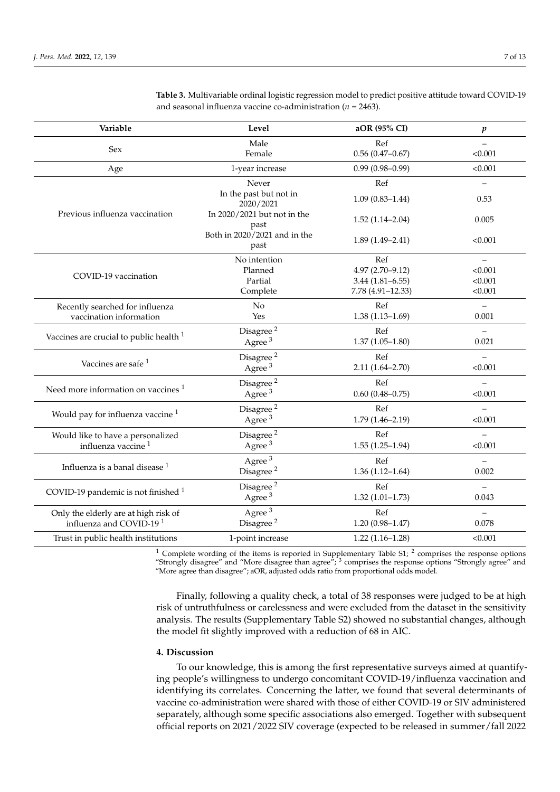| Variable                                           | Level                                | aOR (95% CI)        | p                 |
|----------------------------------------------------|--------------------------------------|---------------------|-------------------|
| Sex                                                | Male                                 | Ref                 |                   |
|                                                    | Female                               | $0.56(0.47-0.67)$   | < 0.001           |
| Age                                                | 1-year increase                      | $0.99(0.98 - 0.99)$ | < 0.001           |
|                                                    | Never                                | Ref                 |                   |
|                                                    | In the past but not in<br>2020/2021  | $1.09(0.83 - 1.44)$ | 0.53              |
| Previous influenza vaccination                     | In 2020/2021 but not in the<br>past  | $1.52(1.14 - 2.04)$ | 0.005             |
|                                                    | Both in 2020/2021 and in the<br>past | $1.89(1.49 - 2.41)$ | < 0.001           |
|                                                    | No intention                         | Ref                 | $\qquad \qquad -$ |
| COVID-19 vaccination                               | Planned                              | $4.97(2.70 - 9.12)$ | < 0.001           |
|                                                    | Partial                              | $3.44(1.81 - 6.55)$ | < 0.001           |
|                                                    | Complete                             | 7.78 (4.91-12.33)   | < 0.001           |
| Recently searched for influenza                    | No                                   | Ref                 | $\qquad \qquad -$ |
| vaccination information                            | Yes                                  | $1.38(1.13 - 1.69)$ | 0.001             |
| Vaccines are crucial to public health <sup>1</sup> | Disagree <sup>2</sup>                | Ref                 |                   |
|                                                    | Agree <sup>3</sup>                   | $1.37(1.05 - 1.80)$ | 0.021             |
|                                                    | Disagree <sup>2</sup>                | Ref                 |                   |
| Vaccines are safe <sup>1</sup>                     | Agree <sup>3</sup>                   | $2.11(1.64 - 2.70)$ | < 0.001           |
|                                                    | Disagree <sup>2</sup>                | Ref                 |                   |
| Need more information on vaccines <sup>1</sup>     | Agree $3$                            | $0.60(0.48 - 0.75)$ | < 0.001           |
| Would pay for influenza vaccine $1$                | Disagree <sup>2</sup>                | Ref                 |                   |
|                                                    | Agree $3$                            | $1.79(1.46 - 2.19)$ | < 0.001           |
| Would like to have a personalized                  | Disagree $^{\rm 2}$                  | Ref                 |                   |
| influenza vaccine <sup>1</sup>                     | Agree <sup>3</sup>                   | $1.55(1.25-1.94)$   | < 0.001           |
| Influenza is a banal disease <sup>1</sup>          | Agree <sup>3</sup>                   | Ref                 |                   |
|                                                    | Disagree <sup>2</sup>                | $1.36(1.12 - 1.64)$ | 0.002             |
|                                                    | Disagree <sup>2</sup>                | Ref                 | $\overline{a}$    |
| COVID-19 pandemic is not finished $1$              | Agree $3$                            | $1.32(1.01 - 1.73)$ | 0.043             |
| Only the elderly are at high risk of               | Agree <sup>3</sup>                   | Ref                 |                   |
| influenza and COVID-19 <sup>1</sup>                | Disagree <sup>2</sup>                | $1.20(0.98 - 1.47)$ | 0.078             |
| Trust in public health institutions                | 1-point increase                     | $1.22(1.16-1.28)$   | < 0.001           |

<span id="page-6-0"></span>**Table 3.** Multivariable ordinal logistic regression model to predict positive attitude toward COVID-19 and seasonal influenza vaccine co-administration (*n* = 2463).

<sup>1</sup> Complete wording of the items is reported in Supplementary Table  $51$ ;  $^2$  comprises the response options "Strongly disagree" and "More disagree than agree";  $3$  comprises the response options "Strongly agree" and "More agree than disagree"; aOR, adjusted odds ratio from proportional odds model.

Finally, following a quality check, a total of 38 responses were judged to be at high risk of untruthfulness or carelessness and were excluded from the dataset in the sensitivity analysis. The results (Supplementary Table S2) showed no substantial changes, although the model fit slightly improved with a reduction of 68 in AIC.

## **4. Discussion**

To our knowledge, this is among the first representative surveys aimed at quantifying people's willingness to undergo concomitant COVID-19/influenza vaccination and identifying its correlates. Concerning the latter, we found that several determinants of vaccine co-administration were shared with those of either COVID-19 or SIV administered separately, although some specific associations also emerged. Together with subsequent official reports on 2021/2022 SIV coverage (expected to be released in summer/fall 2022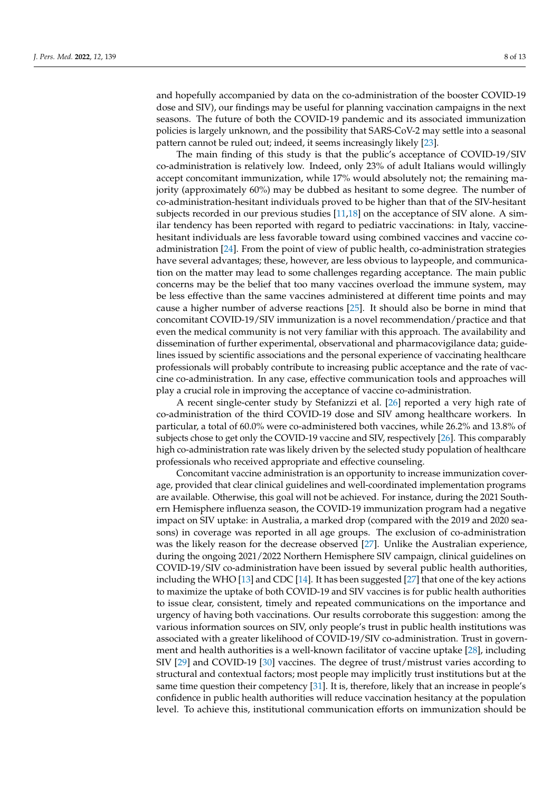and hopefully accompanied by data on the co-administration of the booster COVID-19 dose and SIV), our findings may be useful for planning vaccination campaigns in the next seasons. The future of both the COVID-19 pandemic and its associated immunization policies is largely unknown, and the possibility that SARS-CoV-2 may settle into a seasonal pattern cannot be ruled out; indeed, it seems increasingly likely [\[23\]](#page-11-9).

The main finding of this study is that the public's acceptance of COVID-19/SIV co-administration is relatively low. Indeed, only 23% of adult Italians would willingly accept concomitant immunization, while 17% would absolutely not; the remaining majority (approximately 60%) may be dubbed as hesitant to some degree. The number of co-administration-hesitant individuals proved to be higher than that of the SIV-hesitant subjects recorded in our previous studies [\[11](#page-10-9)[,18\]](#page-11-4) on the acceptance of SIV alone. A similar tendency has been reported with regard to pediatric vaccinations: in Italy, vaccinehesitant individuals are less favorable toward using combined vaccines and vaccine coadministration [\[24\]](#page-11-10). From the point of view of public health, co-administration strategies have several advantages; these, however, are less obvious to laypeople, and communication on the matter may lead to some challenges regarding acceptance. The main public concerns may be the belief that too many vaccines overload the immune system, may be less effective than the same vaccines administered at different time points and may cause a higher number of adverse reactions [\[25\]](#page-11-11). It should also be borne in mind that concomitant COVID-19/SIV immunization is a novel recommendation/practice and that even the medical community is not very familiar with this approach. The availability and dissemination of further experimental, observational and pharmacovigilance data; guidelines issued by scientific associations and the personal experience of vaccinating healthcare professionals will probably contribute to increasing public acceptance and the rate of vaccine co-administration. In any case, effective communication tools and approaches will play a crucial role in improving the acceptance of vaccine co-administration.

A recent single-center study by Stefanizzi et al. [\[26\]](#page-11-12) reported a very high rate of co-administration of the third COVID-19 dose and SIV among healthcare workers. In particular, a total of 60.0% were co-administered both vaccines, while 26.2% and 13.8% of subjects chose to get only the COVID-19 vaccine and SIV, respectively [\[26\]](#page-11-12). This comparably high co-administration rate was likely driven by the selected study population of healthcare professionals who received appropriate and effective counseling.

Concomitant vaccine administration is an opportunity to increase immunization coverage, provided that clear clinical guidelines and well-coordinated implementation programs are available. Otherwise, this goal will not be achieved. For instance, during the 2021 Southern Hemisphere influenza season, the COVID-19 immunization program had a negative impact on SIV uptake: in Australia, a marked drop (compared with the 2019 and 2020 seasons) in coverage was reported in all age groups. The exclusion of co-administration was the likely reason for the decrease observed [\[27\]](#page-11-13). Unlike the Australian experience, during the ongoing 2021/2022 Northern Hemisphere SIV campaign, clinical guidelines on COVID-19/SIV co-administration have been issued by several public health authorities, including the WHO [\[13\]](#page-10-11) and CDC [\[14\]](#page-11-0). It has been suggested [\[27\]](#page-11-13) that one of the key actions to maximize the uptake of both COVID-19 and SIV vaccines is for public health authorities to issue clear, consistent, timely and repeated communications on the importance and urgency of having both vaccinations. Our results corroborate this suggestion: among the various information sources on SIV, only people's trust in public health institutions was associated with a greater likelihood of COVID-19/SIV co-administration. Trust in government and health authorities is a well-known facilitator of vaccine uptake [\[28\]](#page-11-14), including SIV [\[29\]](#page-11-15) and COVID-19 [\[30\]](#page-11-16) vaccines. The degree of trust/mistrust varies according to structural and contextual factors; most people may implicitly trust institutions but at the same time question their competency [\[31\]](#page-11-17). It is, therefore, likely that an increase in people's confidence in public health authorities will reduce vaccination hesitancy at the population level. To achieve this, institutional communication efforts on immunization should be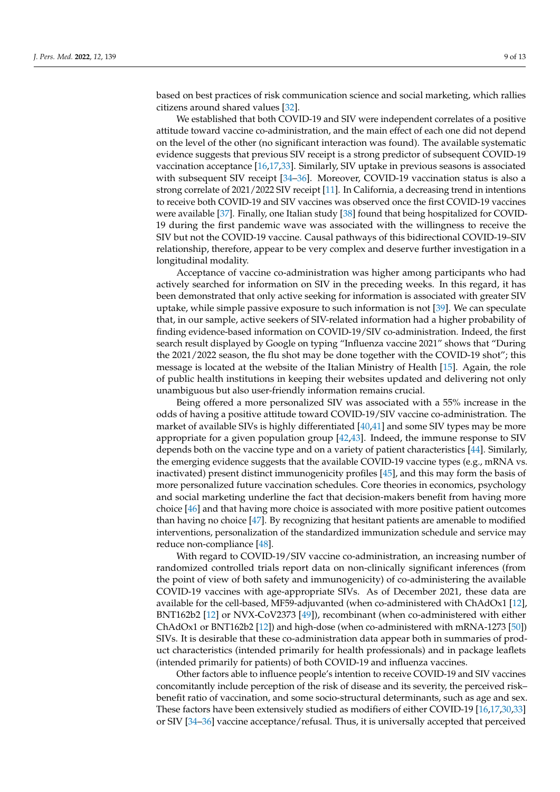based on best practices of risk communication science and social marketing, which rallies citizens around shared values [\[32\]](#page-11-18).

We established that both COVID-19 and SIV were independent correlates of a positive attitude toward vaccine co-administration, and the main effect of each one did not depend on the level of the other (no significant interaction was found). The available systematic evidence suggests that previous SIV receipt is a strong predictor of subsequent COVID-19 vaccination acceptance [\[16](#page-11-2)[,17](#page-11-3)[,33\]](#page-11-19). Similarly, SIV uptake in previous seasons is associated with subsequent SIV receipt [\[34](#page-11-20)[–36\]](#page-11-21). Moreover, COVID-19 vaccination status is also a strong correlate of 2021/2022 SIV receipt [\[11\]](#page-10-9). In California, a decreasing trend in intentions to receive both COVID-19 and SIV vaccines was observed once the first COVID-19 vaccines were available [\[37\]](#page-11-22). Finally, one Italian study [\[38\]](#page-11-23) found that being hospitalized for COVID-19 during the first pandemic wave was associated with the willingness to receive the SIV but not the COVID-19 vaccine. Causal pathways of this bidirectional COVID-19–SIV relationship, therefore, appear to be very complex and deserve further investigation in a longitudinal modality.

Acceptance of vaccine co-administration was higher among participants who had actively searched for information on SIV in the preceding weeks. In this regard, it has been demonstrated that only active seeking for information is associated with greater SIV uptake, while simple passive exposure to such information is not [\[39\]](#page-11-24). We can speculate that, in our sample, active seekers of SIV-related information had a higher probability of finding evidence-based information on COVID-19/SIV co-administration. Indeed, the first search result displayed by Google on typing "Influenza vaccine 2021" shows that "During the 2021/2022 season, the flu shot may be done together with the COVID-19 shot"; this message is located at the website of the Italian Ministry of Health [\[15\]](#page-11-1). Again, the role of public health institutions in keeping their websites updated and delivering not only unambiguous but also user-friendly information remains crucial.

Being offered a more personalized SIV was associated with a 55% increase in the odds of having a positive attitude toward COVID-19/SIV vaccine co-administration. The market of available SIVs is highly differentiated [\[40,](#page-12-0)[41\]](#page-12-1) and some SIV types may be more appropriate for a given population group [\[42](#page-12-2)[,43\]](#page-12-3). Indeed, the immune response to SIV depends both on the vaccine type and on a variety of patient characteristics [\[44\]](#page-12-4). Similarly, the emerging evidence suggests that the available COVID-19 vaccine types (e.g., mRNA vs. inactivated) present distinct immunogenicity profiles [\[45\]](#page-12-5), and this may form the basis of more personalized future vaccination schedules. Core theories in economics, psychology and social marketing underline the fact that decision-makers benefit from having more choice [\[46\]](#page-12-6) and that having more choice is associated with more positive patient outcomes than having no choice [\[47\]](#page-12-7). By recognizing that hesitant patients are amenable to modified interventions, personalization of the standardized immunization schedule and service may reduce non-compliance [\[48\]](#page-12-8).

With regard to COVID-19/SIV vaccine co-administration, an increasing number of randomized controlled trials report data on non-clinically significant inferences (from the point of view of both safety and immunogenicity) of co-administering the available COVID-19 vaccines with age-appropriate SIVs. As of December 2021, these data are available for the cell-based, MF59-adjuvanted (when co-administered with ChAdOx1 [\[12\]](#page-10-10), BNT162b2 [\[12\]](#page-10-10) or NVX-CoV2373 [\[49\]](#page-12-9)), recombinant (when co-administered with either ChAdOx1 or BNT162b2 [\[12\]](#page-10-10)) and high-dose (when co-administered with mRNA-1273 [\[50\]](#page-12-10)) SIVs. It is desirable that these co-administration data appear both in summaries of product characteristics (intended primarily for health professionals) and in package leaflets (intended primarily for patients) of both COVID-19 and influenza vaccines.

Other factors able to influence people's intention to receive COVID-19 and SIV vaccines concomitantly include perception of the risk of disease and its severity, the perceived risk– benefit ratio of vaccination, and some socio-structural determinants, such as age and sex. These factors have been extensively studied as modifiers of either COVID-19 [\[16](#page-11-2)[,17](#page-11-3)[,30,](#page-11-16)[33\]](#page-11-19) or SIV [\[34–](#page-11-20)[36\]](#page-11-21) vaccine acceptance/refusal. Thus, it is universally accepted that perceived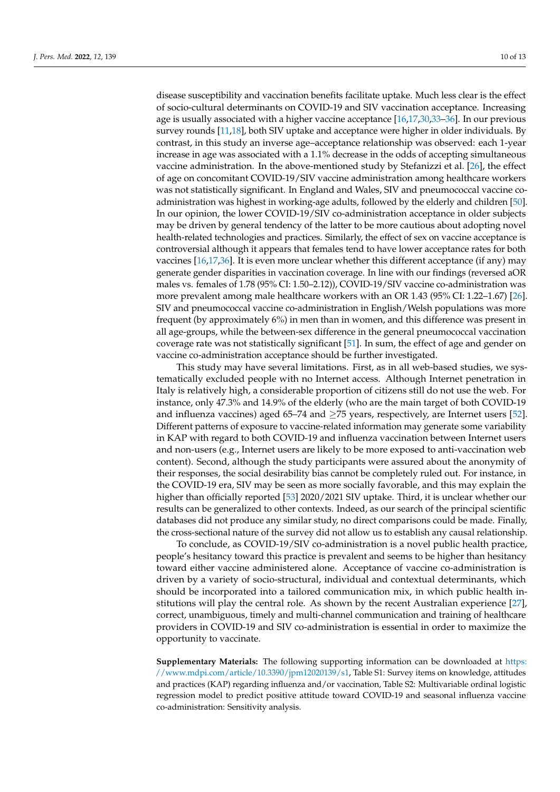disease susceptibility and vaccination benefits facilitate uptake. Much less clear is the effect of socio-cultural determinants on COVID-19 and SIV vaccination acceptance. Increasing age is usually associated with a higher vaccine acceptance [\[16](#page-11-2)[,17,](#page-11-3)[30,](#page-11-16)[33–](#page-11-19)[36\]](#page-11-21). In our previous survey rounds [\[11,](#page-10-9)[18\]](#page-11-4), both SIV uptake and acceptance were higher in older individuals. By contrast, in this study an inverse age–acceptance relationship was observed: each 1-year increase in age was associated with a 1.1% decrease in the odds of accepting simultaneous vaccine administration. In the above-mentioned study by Stefanizzi et al. [\[26\]](#page-11-12), the effect of age on concomitant COVID-19/SIV vaccine administration among healthcare workers was not statistically significant. In England and Wales, SIV and pneumococcal vaccine coadministration was highest in working-age adults, followed by the elderly and children [\[50\]](#page-12-10). In our opinion, the lower COVID-19/SIV co-administration acceptance in older subjects may be driven by general tendency of the latter to be more cautious about adopting novel health-related technologies and practices. Similarly, the effect of sex on vaccine acceptance is controversial although it appears that females tend to have lower acceptance rates for both vaccines [\[16,](#page-11-2)[17,](#page-11-3)[36\]](#page-11-21). It is even more unclear whether this different acceptance (if any) may generate gender disparities in vaccination coverage. In line with our findings (reversed aOR males vs. females of 1.78 (95% CI: 1.50–2.12)), COVID-19/SIV vaccine co-administration was more prevalent among male healthcare workers with an OR 1.43 (95% CI: 1.22–1.67) [\[26\]](#page-11-12). SIV and pneumococcal vaccine co-administration in English/Welsh populations was more frequent (by approximately 6%) in men than in women, and this difference was present in all age-groups, while the between-sex difference in the general pneumococcal vaccination coverage rate was not statistically significant [\[51\]](#page-12-11). In sum, the effect of age and gender on vaccine co-administration acceptance should be further investigated.

This study may have several limitations. First, as in all web-based studies, we systematically excluded people with no Internet access. Although Internet penetration in Italy is relatively high, a considerable proportion of citizens still do not use the web. For instance, only 47.3% and 14.9% of the elderly (who are the main target of both COVID-19 and influenza vaccines) aged 65–74 and  $\geq$ 75 years, respectively, are Internet users [\[52\]](#page-12-12). Different patterns of exposure to vaccine-related information may generate some variability in KAP with regard to both COVID-19 and influenza vaccination between Internet users and non-users (e.g., Internet users are likely to be more exposed to anti-vaccination web content). Second, although the study participants were assured about the anonymity of their responses, the social desirability bias cannot be completely ruled out. For instance, in the COVID-19 era, SIV may be seen as more socially favorable, and this may explain the higher than officially reported [\[53\]](#page-12-13) 2020/2021 SIV uptake. Third, it is unclear whether our results can be generalized to other contexts. Indeed, as our search of the principal scientific databases did not produce any similar study, no direct comparisons could be made. Finally, the cross-sectional nature of the survey did not allow us to establish any causal relationship.

To conclude, as COVID-19/SIV co-administration is a novel public health practice, people's hesitancy toward this practice is prevalent and seems to be higher than hesitancy toward either vaccine administered alone. Acceptance of vaccine co-administration is driven by a variety of socio-structural, individual and contextual determinants, which should be incorporated into a tailored communication mix, in which public health institutions will play the central role. As shown by the recent Australian experience [\[27\]](#page-11-13), correct, unambiguous, timely and multi-channel communication and training of healthcare providers in COVID-19 and SIV co-administration is essential in order to maximize the opportunity to vaccinate.

**Supplementary Materials:** The following supporting information can be downloaded at [https:](https://www.mdpi.com/article/10.3390/jpm12020139/s1) [//www.mdpi.com/article/10.3390/jpm12020139/s1,](https://www.mdpi.com/article/10.3390/jpm12020139/s1) Table S1: Survey items on knowledge, attitudes and practices (KAP) regarding influenza and/or vaccination, Table S2: Multivariable ordinal logistic regression model to predict positive attitude toward COVID-19 and seasonal influenza vaccine co-administration: Sensitivity analysis.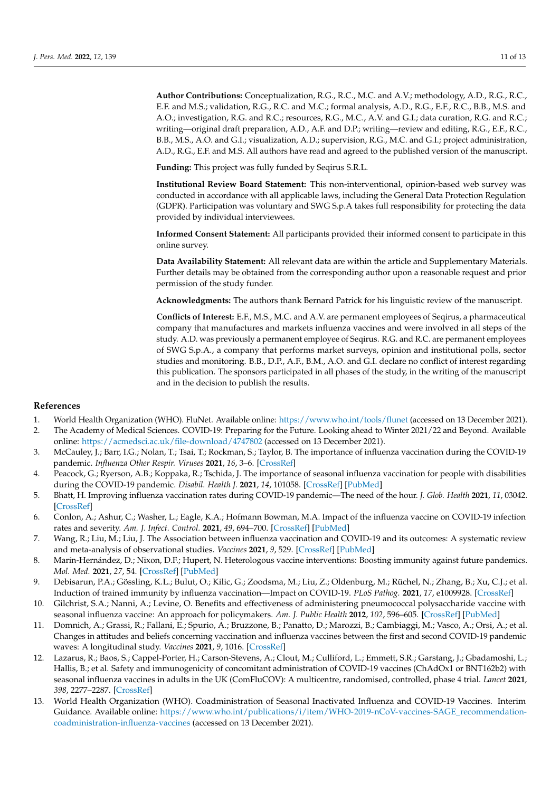**Author Contributions:** Conceptualization, R.G., R.C., M.C. and A.V.; methodology, A.D., R.G., R.C., E.F. and M.S.; validation, R.G., R.C. and M.C.; formal analysis, A.D., R.G., E.F., R.C., B.B., M.S. and A.O.; investigation, R.G. and R.C.; resources, R.G., M.C., A.V. and G.I.; data curation, R.G. and R.C.; writing—original draft preparation, A.D., A.F. and D.P.; writing—review and editing, R.G., E.F., R.C., B.B., M.S., A.O. and G.I.; visualization, A.D.; supervision, R.G., M.C. and G.I.; project administration, A.D., R.G., E.F. and M.S. All authors have read and agreed to the published version of the manuscript.

**Funding:** This project was fully funded by Seqirus S.R.L.

**Institutional Review Board Statement:** This non-interventional, opinion-based web survey was conducted in accordance with all applicable laws, including the General Data Protection Regulation (GDPR). Participation was voluntary and SWG S.p.A takes full responsibility for protecting the data provided by individual interviewees.

**Informed Consent Statement:** All participants provided their informed consent to participate in this online survey.

**Data Availability Statement:** All relevant data are within the article and Supplementary Materials. Further details may be obtained from the corresponding author upon a reasonable request and prior permission of the study funder.

**Acknowledgments:** The authors thank Bernard Patrick for his linguistic review of the manuscript.

**Conflicts of Interest:** E.F., M.S., M.C. and A.V. are permanent employees of Seqirus, a pharmaceutical company that manufactures and markets influenza vaccines and were involved in all steps of the study. A.D. was previously a permanent employee of Seqirus. R.G. and R.C. are permanent employees of SWG S.p.A., a company that performs market surveys, opinion and institutional polls, sector studies and monitoring. B.B., D.P., A.F., B.M., A.O. and G.I. declare no conflict of interest regarding this publication. The sponsors participated in all phases of the study, in the writing of the manuscript and in the decision to publish the results.

## **References**

- <span id="page-10-0"></span>1. World Health Organization (WHO). FluNet. Available online: <https://www.who.int/tools/flunet> (accessed on 13 December 2021).
- <span id="page-10-1"></span>2. The Academy of Medical Sciences. COVID-19: Preparing for the Future. Looking ahead to Winter 2021/22 and Beyond. Available online: <https://acmedsci.ac.uk/file-download/4747802> (accessed on 13 December 2021).
- <span id="page-10-2"></span>3. McCauley, J.; Barr, I.G.; Nolan, T.; Tsai, T.; Rockman, S.; Taylor, B. The importance of influenza vaccination during the COVID-19 pandemic. *Influenza Other Respir. Viruses* **2021**, *16*, 3–6. [\[CrossRef\]](http://doi.org/10.1111/irv.12917)
- 4. Peacock, G.; Ryerson, A.B.; Koppaka, R.; Tschida, J. The importance of seasonal influenza vaccination for people with disabilities during the COVID-19 pandemic. *Disabil. Health J.* **2021**, *14*, 101058. [\[CrossRef\]](http://doi.org/10.1016/j.dhjo.2020.101058) [\[PubMed\]](http://www.ncbi.nlm.nih.gov/pubmed/33384278)
- <span id="page-10-3"></span>5. Bhatt, H. Improving influenza vaccination rates during COVID-19 pandemic—The need of the hour. *J. Glob. Health* **2021**, *11*, 03042. [\[CrossRef\]](http://doi.org/10.7189/jogh.11.03042)
- <span id="page-10-4"></span>6. Conlon, A.; Ashur, C.; Washer, L.; Eagle, K.A.; Hofmann Bowman, M.A. Impact of the influenza vaccine on COVID-19 infection rates and severity. *Am. J. Infect. Control.* **2021**, *49*, 694–700. [\[CrossRef\]](http://doi.org/10.1016/j.ajic.2021.02.012) [\[PubMed\]](http://www.ncbi.nlm.nih.gov/pubmed/33631305)
- <span id="page-10-6"></span>7. Wang, R.; Liu, M.; Liu, J. The Association between influenza vaccination and COVID-19 and its outcomes: A systematic review and meta-analysis of observational studies. *Vaccines* **2021**, *9*, 529. [\[CrossRef\]](http://doi.org/10.3390/vaccines9050529) [\[PubMed\]](http://www.ncbi.nlm.nih.gov/pubmed/34065294)
- <span id="page-10-5"></span>8. Marín-Hernández, D.; Nixon, D.F.; Hupert, N. Heterologous vaccine interventions: Boosting immunity against future pandemics. *Mol. Med.* **2021**, *27*, 54. [\[CrossRef\]](http://doi.org/10.1186/s10020-021-00317-z) [\[PubMed\]](http://www.ncbi.nlm.nih.gov/pubmed/34058986)
- <span id="page-10-7"></span>9. Debisarun, P.A.; Gössling, K.L.; Bulut, O.; Kilic, G.; Zoodsma, M.; Liu, Z.; Oldenburg, M.; Rüchel, N.; Zhang, B.; Xu, C.J.; et al. Induction of trained immunity by influenza vaccination—Impact on COVID-19. *PLoS Pathog.* **2021**, *17*, e1009928. [\[CrossRef\]](http://doi.org/10.1371/journal.ppat.1009928)
- <span id="page-10-8"></span>10. Gilchrist, S.A.; Nanni, A.; Levine, O. Benefits and effectiveness of administering pneumococcal polysaccharide vaccine with seasonal influenza vaccine: An approach for policymakers. *Am. J. Public Health* **2012**, *102*, 596–605. [\[CrossRef\]](http://doi.org/10.2105/AJPH.2011.300512) [\[PubMed\]](http://www.ncbi.nlm.nih.gov/pubmed/22397339)
- <span id="page-10-9"></span>11. Domnich, A.; Grassi, R.; Fallani, E.; Spurio, A.; Bruzzone, B.; Panatto, D.; Marozzi, B.; Cambiaggi, M.; Vasco, A.; Orsi, A.; et al. Changes in attitudes and beliefs concerning vaccination and influenza vaccines between the first and second COVID-19 pandemic waves: A longitudinal study. *Vaccines* **2021**, *9*, 1016. [\[CrossRef\]](http://doi.org/10.3390/vaccines9091016)
- <span id="page-10-10"></span>12. Lazarus, R.; Baos, S.; Cappel-Porter, H.; Carson-Stevens, A.; Clout, M.; Culliford, L.; Emmett, S.R.; Garstang, J.; Gbadamoshi, L.; Hallis, B.; et al. Safety and immunogenicity of concomitant administration of COVID-19 vaccines (ChAdOx1 or BNT162b2) with seasonal influenza vaccines in adults in the UK (ComFluCOV): A multicentre, randomised, controlled, phase 4 trial. *Lancet* **2021**, *398*, 2277–2287. [\[CrossRef\]](http://doi.org/10.1016/S0140-6736(21)02329-1)
- <span id="page-10-11"></span>13. World Health Organization (WHO). Coadministration of Seasonal Inactivated Influenza and COVID-19 Vaccines. Interim Guidance. Available online: [https://www.who.int/publications/i/item/WHO-2019-nCoV-vaccines-SAGE\\_recommendation](https://www.who.int/publications/i/item/WHO-2019-nCoV-vaccines-SAGE_recommendation-coadministration-influenza-vaccines)[coadministration-influenza-vaccines](https://www.who.int/publications/i/item/WHO-2019-nCoV-vaccines-SAGE_recommendation-coadministration-influenza-vaccines) (accessed on 13 December 2021).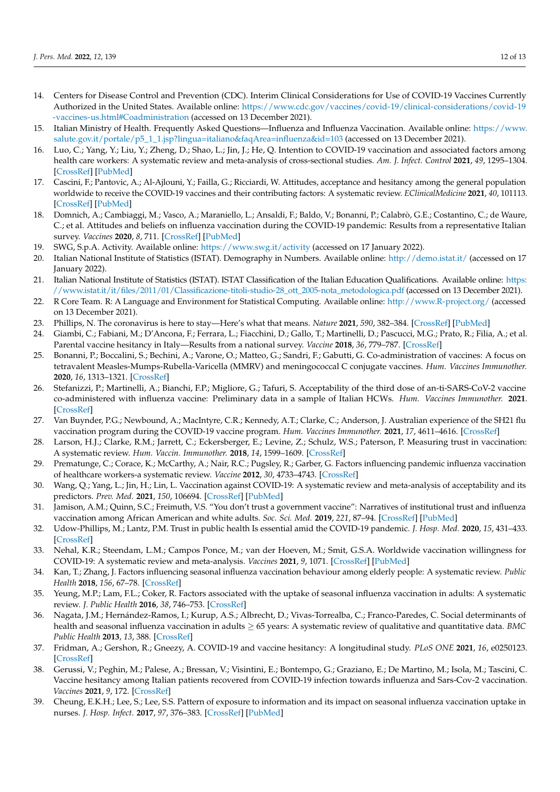- <span id="page-11-0"></span>14. Centers for Disease Control and Prevention (CDC). Interim Clinical Considerations for Use of COVID-19 Vaccines Currently Authorized in the United States. Available online: [https://www.cdc.gov/vaccines/covid-19/clinical-considerations/covid-19](https://www.cdc.gov/vaccines/covid-19/clinical-considerations/covid-19-vaccines-us.html#Coadministration) [-vaccines-us.html#Coadministration](https://www.cdc.gov/vaccines/covid-19/clinical-considerations/covid-19-vaccines-us.html#Coadministration) (accessed on 13 December 2021).
- <span id="page-11-1"></span>15. Italian Ministry of Health. Frequently Asked Questions—Influenza and Influenza Vaccination. Available online: [https://www.](https://www.salute.gov.it/portale/p5_1_1.jsp?lingua=italiano&faqArea=influenza&id=103) [salute.gov.it/portale/p5\\_1\\_1.jsp?lingua=italiano&faqArea=influenza&id=103](https://www.salute.gov.it/portale/p5_1_1.jsp?lingua=italiano&faqArea=influenza&id=103) (accessed on 13 December 2021).
- <span id="page-11-2"></span>16. Luo, C.; Yang, Y.; Liu, Y.; Zheng, D.; Shao, L.; Jin, J.; He, Q. Intention to COVID-19 vaccination and associated factors among health care workers: A systematic review and meta-analysis of cross-sectional studies. *Am. J. Infect. Control* **2021**, *49*, 1295–1304. [\[CrossRef\]](http://doi.org/10.1016/j.ajic.2021.06.020) [\[PubMed\]](http://www.ncbi.nlm.nih.gov/pubmed/34273461)
- <span id="page-11-3"></span>17. Cascini, F.; Pantovic, A.; Al-Ajlouni, Y.; Failla, G.; Ricciardi, W. Attitudes, acceptance and hesitancy among the general population worldwide to receive the COVID-19 vaccines and their contributing factors: A systematic review. *EClinicalMedicine* **2021**, *40*, 101113. [\[CrossRef\]](http://doi.org/10.1016/j.eclinm.2021.101113) [\[PubMed\]](http://www.ncbi.nlm.nih.gov/pubmed/34490416)
- <span id="page-11-4"></span>18. Domnich, A.; Cambiaggi, M.; Vasco, A.; Maraniello, L.; Ansaldi, F.; Baldo, V.; Bonanni, P.; Calabrò, G.E.; Costantino, C.; de Waure, C.; et al. Attitudes and beliefs on influenza vaccination during the COVID-19 pandemic: Results from a representative Italian survey. *Vaccines* **2020**, *8*, 711. [\[CrossRef\]](http://doi.org/10.3390/vaccines8040711) [\[PubMed\]](http://www.ncbi.nlm.nih.gov/pubmed/33266212)
- <span id="page-11-5"></span>19. SWG, S.p.A. Activity. Available online: <https://www.swg.it/activity> (accessed on 17 January 2022).
- <span id="page-11-6"></span>20. Italian National Institute of Statistics (ISTAT). Demography in Numbers. Available online: <http://demo.istat.it/> (accessed on 17 January 2022).
- <span id="page-11-7"></span>21. Italian National Institute of Statistics (ISTAT). ISTAT Classification of the Italian Education Qualifications. Available online: [https:](https://www.istat.it/it/files/2011/01/Classificazione-titoli-studio-28_ott_2005-nota_metodologica.pdf) [//www.istat.it/it/files/2011/01/Classificazione-titoli-studio-28\\_ott\\_2005-nota\\_metodologica.pdf](https://www.istat.it/it/files/2011/01/Classificazione-titoli-studio-28_ott_2005-nota_metodologica.pdf) (accessed on 13 December 2021).
- <span id="page-11-8"></span>22. R Core Team. R: A Language and Environment for Statistical Computing. Available online: <http://www.R-project.org/> (accessed on 13 December 2021).
- <span id="page-11-9"></span>23. Phillips, N. The coronavirus is here to stay—Here's what that means. *Nature* **2021**, *590*, 382–384. [\[CrossRef\]](http://doi.org/10.1038/d41586-021-00396-2) [\[PubMed\]](http://www.ncbi.nlm.nih.gov/pubmed/33594289)
- <span id="page-11-10"></span>24. Giambi, C.; Fabiani, M.; D'Ancona, F.; Ferrara, L.; Fiacchini, D.; Gallo, T.; Martinelli, D.; Pascucci, M.G.; Prato, R.; Filia, A.; et al. Parental vaccine hesitancy in Italy—Results from a national survey. *Vaccine* **2018**, *36*, 779–787. [\[CrossRef\]](http://doi.org/10.1016/j.vaccine.2017.12.074)
- <span id="page-11-11"></span>25. Bonanni, P.; Boccalini, S.; Bechini, A.; Varone, O.; Matteo, G.; Sandri, F.; Gabutti, G. Co-administration of vaccines: A focus on tetravalent Measles-Mumps-Rubella-Varicella (MMRV) and meningococcal C conjugate vaccines. *Hum. Vaccines Immunother.* **2020**, *16*, 1313–1321. [\[CrossRef\]](http://doi.org/10.1080/21645515.2019.1688032)
- <span id="page-11-12"></span>26. Stefanizzi, P.; Martinelli, A.; Bianchi, F.P.; Migliore, G.; Tafuri, S. Acceptability of the third dose of an-ti-SARS-CoV-2 vaccine co-administered with influenza vaccine: Preliminary data in a sample of Italian HCWs. *Hum. Vaccines Immunother.* **2021**. [\[CrossRef\]](http://doi.org/10.1080/21645515.2021.2011652)
- <span id="page-11-13"></span>27. Van Buynder, P.G.; Newbound, A.; MacIntyre, C.R.; Kennedy, A.T.; Clarke, C.; Anderson, J. Australian experience of the SH21 flu vaccination program during the COVID-19 vaccine program. *Hum. Vaccines Immunother.* **2021**, *17*, 4611–4616. [\[CrossRef\]](http://doi.org/10.1080/21645515.2021.1967042)
- <span id="page-11-14"></span>28. Larson, H.J.; Clarke, R.M.; Jarrett, C.; Eckersberger, E.; Levine, Z.; Schulz, W.S.; Paterson, P. Measuring trust in vaccination: A systematic review. *Hum. Vaccin. Immunother.* **2018**, *14*, 1599–1609. [\[CrossRef\]](http://doi.org/10.1080/21645515.2018.1459252)
- <span id="page-11-15"></span>29. Prematunge, C.; Corace, K.; McCarthy, A.; Nair, R.C.; Pugsley, R.; Garber, G. Factors influencing pandemic influenza vaccination of healthcare workers-a systematic review. *Vaccine* **2012**, *30*, 4733–4743. [\[CrossRef\]](http://doi.org/10.1016/j.vaccine.2012.05.018)
- <span id="page-11-16"></span>30. Wang, Q.; Yang, L.; Jin, H.; Lin, L. Vaccination against COVID-19: A systematic review and meta-analysis of acceptability and its predictors. *Prev. Med.* **2021**, *150*, 106694. [\[CrossRef\]](http://doi.org/10.1016/j.ypmed.2021.106694) [\[PubMed\]](http://www.ncbi.nlm.nih.gov/pubmed/34171345)
- <span id="page-11-17"></span>31. Jamison, A.M.; Quinn, S.C.; Freimuth, V.S. "You don't trust a government vaccine": Narratives of institutional trust and influenza vaccination among African American and white adults. *Soc. Sci. Med.* **2019**, *221*, 87–94. [\[CrossRef\]](http://doi.org/10.1016/j.socscimed.2018.12.020) [\[PubMed\]](http://www.ncbi.nlm.nih.gov/pubmed/30576982)
- <span id="page-11-18"></span>32. Udow-Phillips, M.; Lantz, P.M. Trust in public health Is essential amid the COVID-19 pandemic. *J. Hosp. Med.* **2020**, *15*, 431–433. [\[CrossRef\]](http://doi.org/10.12788/jhm.3474)
- <span id="page-11-19"></span>33. Nehal, K.R.; Steendam, L.M.; Campos Ponce, M.; van der Hoeven, M.; Smit, G.S.A. Worldwide vaccination willingness for COVID-19: A systematic review and meta-analysis. *Vaccines* **2021**, *9*, 1071. [\[CrossRef\]](http://doi.org/10.3390/vaccines9101071) [\[PubMed\]](http://www.ncbi.nlm.nih.gov/pubmed/34696179)
- <span id="page-11-20"></span>34. Kan, T.; Zhang, J. Factors influencing seasonal influenza vaccination behaviour among elderly people: A systematic review. *Public Health* **2018**, *156*, 67–78. [\[CrossRef\]](http://doi.org/10.1016/j.puhe.2017.12.007)
- 35. Yeung, M.P.; Lam, F.L.; Coker, R. Factors associated with the uptake of seasonal influenza vaccination in adults: A systematic review. *J. Public Health* **2016**, *38*, 746–753. [\[CrossRef\]](http://doi.org/10.1093/pubmed/fdv194)
- <span id="page-11-21"></span>36. Nagata, J.M.; Hernández-Ramos, I.; Kurup, A.S.; Albrecht, D.; Vivas-Torrealba, C.; Franco-Paredes, C. Social determinants of health and seasonal influenza vaccination in adults ≥ 65 years: A systematic review of qualitative and quantitative data. *BMC Public Health* **2013**, *13*, 388. [\[CrossRef\]](http://doi.org/10.1186/1471-2458-13-388)
- <span id="page-11-22"></span>37. Fridman, A.; Gershon, R.; Gneezy, A. COVID-19 and vaccine hesitancy: A longitudinal study. *PLoS ONE* **2021**, *16*, e0250123. [\[CrossRef\]](http://doi.org/10.1371/journal.pone.0250123)
- <span id="page-11-23"></span>38. Gerussi, V.; Peghin, M.; Palese, A.; Bressan, V.; Visintini, E.; Bontempo, G.; Graziano, E.; De Martino, M.; Isola, M.; Tascini, C. Vaccine hesitancy among Italian patients recovered from COVID-19 infection towards influenza and Sars-Cov-2 vaccination. *Vaccines* **2021**, *9*, 172. [\[CrossRef\]](http://doi.org/10.3390/vaccines9020172)
- <span id="page-11-24"></span>39. Cheung, E.K.H.; Lee, S.; Lee, S.S. Pattern of exposure to information and its impact on seasonal influenza vaccination uptake in nurses. *J. Hosp. Infect.* **2017**, *97*, 376–383. [\[CrossRef\]](http://doi.org/10.1016/j.jhin.2017.08.005) [\[PubMed\]](http://www.ncbi.nlm.nih.gov/pubmed/28807832)